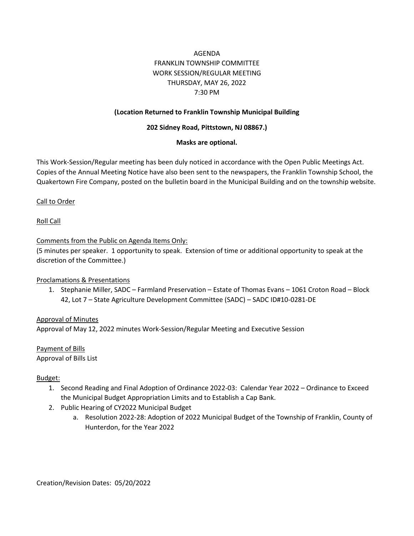# AGENDA FRANKLIN TOWNSHIP COMMITTEE WORK SESSION/REGULAR MEETING THURSDAY, MAY 26, 2022 7:30 PM

#### **(Location Returned to Franklin Township Municipal Building**

#### **202 Sidney Road, Pittstown, NJ 08867.)**

#### **Masks are optional.**

This Work-Session/Regular meeting has been duly noticed in accordance with the Open Public Meetings Act. Copies of the Annual Meeting Notice have also been sent to the newspapers, the Franklin Township School, the Quakertown Fire Company, posted on the bulletin board in the Municipal Building and on the township website.

#### Call to Order

Roll Call

#### Comments from the Public on Agenda Items Only:

(5 minutes per speaker. 1 opportunity to speak. Extension of time or additional opportunity to speak at the discretion of the Committee.)

#### Proclamations & Presentations

1. Stephanie Miller, SADC – Farmland Preservation – Estate of Thomas Evans – 1061 Croton Road – Block 42, Lot 7 – State Agriculture Development Committee (SADC) – SADC ID#10-0281-DE

# Approval of Minutes

Approval of May 12, 2022 minutes Work-Session/Regular Meeting and Executive Session

Payment of Bills Approval of Bills List

#### Budget:

- 1. Second Reading and Final Adoption of Ordinance 2022-03: Calendar Year 2022 Ordinance to Exceed the Municipal Budget Appropriation Limits and to Establish a Cap Bank.
- 2. Public Hearing of CY2022 Municipal Budget
	- a. Resolution 2022-28: Adoption of 2022 Municipal Budget of the Township of Franklin, County of Hunterdon, for the Year 2022